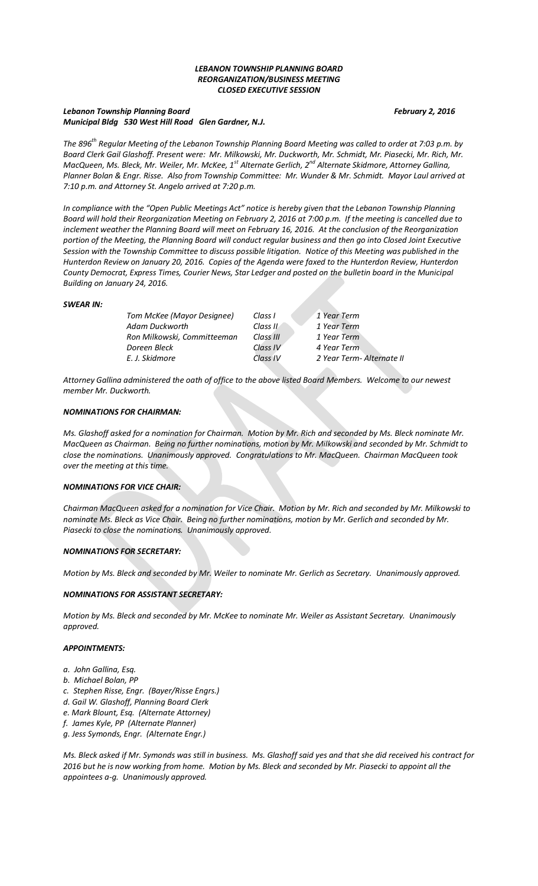# *LEBANON TOWNSHIP PLANNING BOARD REORGANIZATION/BUSINESS MEETING CLOSED EXECUTIVE SESSION*

# *Lebanon Township Planning Board February 2, 2016 Municipal Bldg 530 West Hill Road Glen Gardner, N.J.*

*The 896th Regular Meeting of the Lebanon Township Planning Board Meeting was called to order at 7:03 p.m. by Board Clerk Gail Glashoff. Present were: Mr. Milkowski, Mr. Duckworth, Mr. Schmidt, Mr. Piasecki, Mr. Rich, Mr. MacQueen, Ms. Bleck, Mr. Weiler, Mr. McKee, 1st Alternate Gerlich, 2nd Alternate Skidmore, Attorney Gallina, Planner Bolan & Engr. Risse. Also from Township Committee: Mr. Wunder & Mr. Schmidt. Mayor Laul arrived at 7:10 p.m. and Attorney St. Angelo arrived at 7:20 p.m.*

*In compliance with the "Open Public Meetings Act" notice is hereby given that the Lebanon Township Planning Board will hold their Reorganization Meeting on February 2, 2016 at 7:00 p.m. If the meeting is cancelled due to inclement weather the Planning Board will meet on February 16, 2016. At the conclusion of the Reorganization portion of the Meeting, the Planning Board will conduct regular business and then go into Closed Joint Executive Session with the Township Committee to discuss possible litigation. Notice of this Meeting was published in the Hunterdon Review on January 20, 2016. Copies of the Agenda were faxed to the Hunterdon Review, Hunterdon County Democrat, Express Times, Courier News, Star Ledger and posted on the bulletin board in the Municipal Building on January 24, 2016.*

## *SWEAR IN:*

| Tom McKee (Mayor Designee)  | Class I   | 1 Year Term              |
|-----------------------------|-----------|--------------------------|
| Adam Duckworth              | Class II  | 1 Year Term              |
| Ron Milkowski, Committeeman | Class III | 1 Year Term              |
| Doreen Bleck                | Class IV  | 4 Year Term              |
| E. J. Skidmore              | Class IV  | 2 Year Term-Alternate II |

*Attorney Gallina administered the oath of office to the above listed Board Members. Welcome to our newest member Mr. Duckworth.*

## *NOMINATIONS FOR CHAIRMAN:*

*Ms. Glashoff asked for a nomination for Chairman. Motion by Mr. Rich and seconded by Ms. Bleck nominate Mr. MacQueen as Chairman. Being no further nominations, motion by Mr. Milkowski and seconded by Mr. Schmidt to close the nominations. Unanimously approved. Congratulations to Mr. MacQueen. Chairman MacQueen took over the meeting at this time.*

#### *NOMINATIONS FOR VICE CHAIR:*

*Chairman MacQueen asked for a nomination for Vice Chair. Motion by Mr. Rich and seconded by Mr. Milkowski to nominate Ms. Bleck as Vice Chair. Being no further nominations, motion by Mr. Gerlich and seconded by Mr. Piasecki to close the nominations. Unanimously approved.*

## *NOMINATIONS FOR SECRETARY:*

*Motion by Ms. Bleck and seconded by Mr. Weiler to nominate Mr. Gerlich as Secretary. Unanimously approved.*

## *NOMINATIONS FOR ASSISTANT SECRETARY:*

*Motion by Ms. Bleck and seconded by Mr. McKee to nominate Mr. Weiler as Assistant Secretary. Unanimously approved.*

## *APPOINTMENTS:*

- *a. John Gallina, Esq.*
- *b. Michael Bolan, PP*
- *c. Stephen Risse, Engr. (Bayer/Risse Engrs.)*
- *d. Gail W. Glashoff, Planning Board Clerk*
- *e. Mark Blount, Esq. (Alternate Attorney)*
- *f. James Kyle, PP (Alternate Planner)*
- *g. Jess Symonds, Engr. (Alternate Engr.)*

*Ms. Bleck asked if Mr. Symonds was still in business. Ms. Glashoff said yes and that she did received his contract for 2016 but he is now working from home. Motion by Ms. Bleck and seconded by Mr. Piasecki to appoint all the appointees a-g. Unanimously approved.*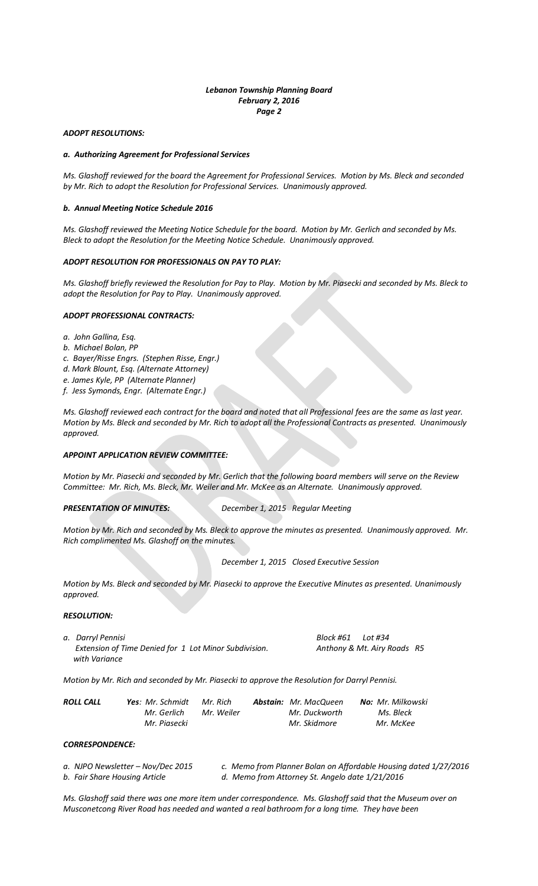# *ADOPT RESOLUTIONS:*

#### *a. Authorizing Agreement for Professional Services*

*Ms. Glashoff reviewed for the board the Agreement for Professional Services. Motion by Ms. Bleck and seconded by Mr. Rich to adopt the Resolution for Professional Services. Unanimously approved.*

#### *b. Annual Meeting Notice Schedule 2016*

*Ms. Glashoff reviewed the Meeting Notice Schedule for the board. Motion by Mr. Gerlich and seconded by Ms. Bleck to adopt the Resolution for the Meeting Notice Schedule. Unanimously approved.*

## *ADOPT RESOLUTION FOR PROFESSIONALS ON PAY TO PLAY:*

*Ms. Glashoff briefly reviewed the Resolution for Pay to Play. Motion by Mr. Piasecki and seconded by Ms. Bleck to adopt the Resolution for Pay to Play. Unanimously approved.*

## *ADOPT PROFESSIONAL CONTRACTS:*

*a. John Gallina, Esq.*

- *b. Michael Bolan, PP*
- *c. Bayer/Risse Engrs. (Stephen Risse, Engr.)*
- *d. Mark Blount, Esq. (Alternate Attorney)*
- *e. James Kyle, PP (Alternate Planner)*
- *f. Jess Symonds, Engr. (Alternate Engr.)*

*Ms. Glashoff reviewed each contract for the board and noted that all Professional fees are the same as last year. Motion by Ms. Bleck and seconded by Mr. Rich to adopt all the Professional Contracts as presented. Unanimously approved.*

#### *APPOINT APPLICATION REVIEW COMMITTEE:*

*Motion by Mr. Piasecki and seconded by Mr. Gerlich that the following board members will serve on the Review Committee: Mr. Rich, Ms. Bleck, Mr. Weiler and Mr. McKee as an Alternate. Unanimously approved.*

*PRESENTATION OF MINUTES: December 1, 2015 Regular Meeting*

*Motion by Mr. Rich and seconded by Ms. Bleck to approve the minutes as presented. Unanimously approved. Mr. Rich complimented Ms. Glashoff on the minutes.*

*December 1, 2015 Closed Executive Session*

*Motion by Ms. Bleck and seconded by Mr. Piasecki to approve the Executive Minutes as presented. Unanimously approved.* 

#### *RESOLUTION:*

*a. Darryl Pennisi Block #61 Lot #34 Extension of Time Denied for 1 Lot Minor Subdivision. Anthony & Mt. Airy Roads R5 with Variance*

*Motion by Mr. Rich and seconded by Mr. Piasecki to approve the Resolution for Darryl Pennisi.*

| <b>ROLL CALL</b> | <b>Yes</b> : Mr. Schmidt | Mr. Rich   | <b>Abstain:</b> Mr. MacQueen | <b>No:</b> Mr. Milkowski |
|------------------|--------------------------|------------|------------------------------|--------------------------|
|                  | Mr. Gerlich              | Mr. Weiler | Mr. Duckworth                | Ms. Bleck                |
|                  | Mr. Piasecki             |            | Mr. Skidmore                 | Mr. McKee                |

*CORRESPONDENCE:*

*a. NJPO Newsletter – Nov/Dec 2015 c. Memo from Planner Bolan on Affordable Housing dated 1/27/2016 b. Fair Share Housing Article d. Memo from Attorney St. Angelo date 1/21/2016*

*Ms. Glashoff said there was one more item under correspondence. Ms. Glashoff said that the Museum over on Musconetcong River Road has needed and wanted a real bathroom for a long time. They have been*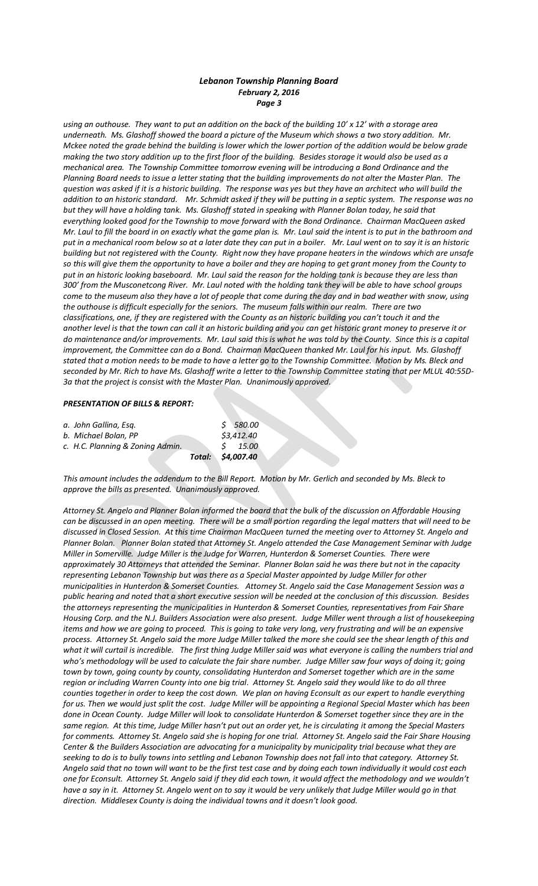*using an outhouse. They want to put an addition on the back of the building 10' x 12' with a storage area underneath. Ms. Glashoff showed the board a picture of the Museum which shows a two story addition. Mr. Mckee noted the grade behind the building is lower which the lower portion of the addition would be below grade making the two story addition up to the first floor of the building. Besides storage it would also be used as a mechanical area. The Township Committee tomorrow evening will be introducing a Bond Ordinance and the Planning Board needs to issue a letter stating that the building improvements do not alter the Master Plan. The question was asked if it is a historic building. The response was yes but they have an architect who will build the addition to an historic standard. Mr. Schmidt asked if they will be putting in a septic system. The response was no but they will have a holding tank. Ms. Glashoff stated in speaking with Planner Bolan today, he said that everything looked good for the Township to move forward with the Bond Ordinance. Chairman MacQueen asked Mr. Laul to fill the board in on exactly what the game plan is. Mr. Laul said the intent is to put in the bathroom and put in a mechanical room below so at a later date they can put in a boiler. Mr. Laul went on to say it is an historic building but not registered with the County. Right now they have propane heaters in the windows which are unsafe so this will give them the opportunity to have a boiler and they are hoping to get grant money from the County to put in an historic looking baseboard. Mr. Laul said the reason for the holding tank is because they are less than 300' from the Musconetcong River. Mr. Laul noted with the holding tank they will be able to have school groups come to the museum also they have a lot of people that come during the day and in bad weather with snow, using the outhouse is difficult especially for the seniors. The museum falls within our realm. There are two classifications, one, if they are registered with the County as an historic building you can't touch it and the another level is that the town can call it an historic building and you can get historic grant money to preserve it or do maintenance and/or improvements. Mr. Laul said this is what he was told by the County. Since this is a capital improvement, the Committee can do a Bond. Chairman MacQueen thanked Mr. Laul for his input. Ms. Glashoff stated that a motion needs to be made to have a letter go to the Township Committee. Motion by Ms. Bleck and seconded by Mr. Rich to have Ms. Glashoff write a letter to the Township Committee stating that per MLUL 40:55D-3a that the project is consist with the Master Plan. Unanimously approved.*

## *PRESENTATION OF BILLS & REPORT:*

|                                  | Total: \$4,007.40 |            |
|----------------------------------|-------------------|------------|
| c. H.C. Planning & Zoning Admin. |                   | $5$ 15.00  |
| b. Michael Bolan. PP             |                   | \$3,412.40 |
| a. John Gallina, Esg.            |                   | 580.00     |

*This amount includes the addendum to the Bill Report. Motion by Mr. Gerlich and seconded by Ms. Bleck to approve the bills as presented. Unanimously approved.*

*Attorney St. Angelo and Planner Bolan informed the board that the bulk of the discussion on Affordable Housing can be discussed in an open meeting. There will be a small portion regarding the legal matters that will need to be discussed in Closed Session. At this time Chairman MacQueen turned the meeting over to Attorney St. Angelo and Planner Bolan. Planner Bolan stated that Attorney St. Angelo attended the Case Management Seminar with Judge Miller in Somerville. Judge Miller is the Judge for Warren, Hunterdon & Somerset Counties. There were approximately 30 Attorneys that attended the Seminar. Planner Bolan said he was there but not in the capacity representing Lebanon Township but was there as a Special Master appointed by Judge Miller for other municipalities in Hunterdon & Somerset Counties. Attorney St. Angelo said the Case Management Session was a public hearing and noted that a short executive session will be needed at the conclusion of this discussion. Besides the attorneys representing the municipalities in Hunterdon & Somerset Counties, representatives from Fair Share Housing Corp. and the N.J. Builders Association were also present. Judge Miller went through a list of housekeeping items and how we are going to proceed. This is going to take very long, very frustrating and will be an expensive process. Attorney St. Angelo said the more Judge Miller talked the more she could see the shear length of this and*  what it will curtail is incredible. The first thing Judge Miller said was what everyone is calling the numbers trial and who's methodology will be used to calculate the fair share number. Judge Miller saw four ways of doing it; going *town by town, going county by county, consolidating Hunterdon and Somerset together which are in the same region or including Warren County into one big trial. Attorney St. Angelo said they would like to do all three counties together in order to keep the cost down. We plan on having Econsult as our expert to handle everything for us. Then we would just split the cost. Judge Miller will be appointing a Regional Special Master which has been done in Ocean County. Judge Miller will look to consolidate Hunterdon & Somerset together since they are in the same region. At this time, Judge Miller hasn't put out an order yet, he is circulating it among the Special Masters for comments. Attorney St. Angelo said she is hoping for one trial. Attorney St. Angelo said the Fair Share Housing Center & the Builders Association are advocating for a municipality by municipality trial because what they are seeking to do is to bully towns into settling and Lebanon Township does not fall into that category. Attorney St. Angelo said that no town will want to be the first test case and by doing each town individually it would cost each one for Econsult. Attorney St. Angelo said if they did each town, it would affect the methodology and we wouldn't have a say in it. Attorney St. Angelo went on to say it would be very unlikely that Judge Miller would go in that direction. Middlesex County is doing the individual towns and it doesn't look good.*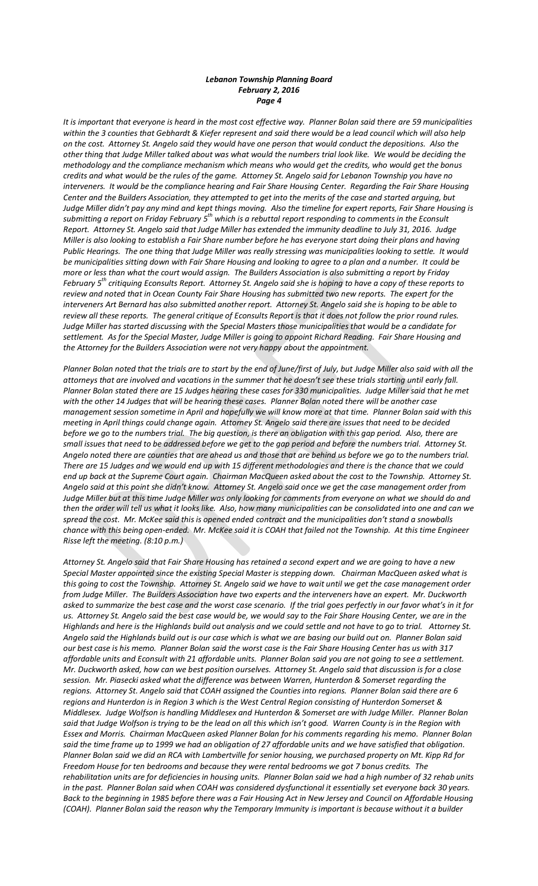*It is important that everyone is heard in the most cost effective way. Planner Bolan said there are 59 municipalities within the 3 counties that Gebhardt & Kiefer represent and said there would be a lead council which will also help on the cost. Attorney St. Angelo said they would have one person that would conduct the depositions. Also the other thing that Judge Miller talked about was what would the numbers trial look like. We would be deciding the methodology and the compliance mechanism which means who would get the credits, who would get the bonus credits and what would be the rules of the game. Attorney St. Angelo said for Lebanon Township you have no interveners. It would be the compliance hearing and Fair Share Housing Center. Regarding the Fair Share Housing Center and the Builders Association, they attempted to get into the merits of the case and started arguing, but Judge Miller didn't pay any mind and kept things moving. Also the timeline for expert reports, Fair Share Housing is submitting a report on Friday February 5th which is a rebuttal report responding to comments in the Econsult Report. Attorney St. Angelo said that Judge Miller has extended the immunity deadline to July 31, 2016. Judge Miller is also looking to establish a Fair Share number before he has everyone start doing their plans and having Public Hearings. The one thing that Judge Miller was really stressing was municipalities looking to settle. It would be municipalities sitting down with Fair Share Housing and looking to agree to a plan and a number. It could be more or less than what the court would assign. The Builders Association is also submitting a report by Friday February 5th critiquing Econsults Report. Attorney St. Angelo said she is hoping to have a copy of these reports to review and noted that in Ocean County Fair Share Housing has submitted two new reports. The expert for the interveners Art Bernard has also submitted another report. Attorney St. Angelo said she is hoping to be able to review all these reports. The general critique of Econsults Report is that it does not follow the prior round rules. Judge Miller has started discussing with the Special Masters those municipalities that would be a candidate for settlement. As for the Special Master, Judge Miller is going to appoint Richard Reading. Fair Share Housing and the Attorney for the Builders Association were not very happy about the appointment.* 

*Planner Bolan noted that the trials are to start by the end of June/first of July, but Judge Miller also said with all the attorneys that are involved and vacations in the summer that he doesn't see these trials starting until early fall. Planner Bolan stated there are 15 Judges hearing these cases for 330 municipalities. Judge Miller said that he met with the other 14 Judges that will be hearing these cases. Planner Bolan noted there will be another case management session sometime in April and hopefully we will know more at that time. Planner Bolan said with this meeting in April things could change again. Attorney St. Angelo said there are issues that need to be decided before we go to the numbers trial. The big question, is there an obligation with this gap period. Also, there are small issues that need to be addressed before we get to the gap period and before the numbers trial. Attorney St. Angelo noted there are counties that are ahead us and those that are behind us before we go to the numbers trial. There are 15 Judges and we would end up with 15 different methodologies and there is the chance that we could end up back at the Supreme Court again. Chairman MacQueen asked about the cost to the Township. Attorney St. Angelo said at this point she didn't know. Attorney St. Angelo said once we get the case management order from Judge Miller but at this time Judge Miller was only looking for comments from everyone on what we should do and then the order will tell us what it looks like. Also, how many municipalities can be consolidated into one and can we spread the cost. Mr. McKee said this is opened ended contract and the municipalities don't stand a snowballs chance with this being open-ended. Mr. McKee said it is COAH that failed not the Township. At this time Engineer Risse left the meeting. (8:10 p.m.)*

*Attorney St. Angelo said that Fair Share Housing has retained a second expert and we are going to have a new Special Master appointed since the existing Special Master is stepping down. Chairman MacQueen asked what is this going to cost the Township. Attorney St. Angelo said we have to wait until we get the case management order from Judge Miller. The Builders Association have two experts and the interveners have an expert. Mr. Duckworth asked to summarize the best case and the worst case scenario. If the trial goes perfectly in our favor what's in it for us. Attorney St. Angelo said the best case would be, we would say to the Fair Share Housing Center, we are in the Highlands and here is the Highlands build out analysis and we could settle and not have to go to trial. Attorney St. Angelo said the Highlands build out is our case which is what we are basing our build out on. Planner Bolan said our best case is his memo. Planner Bolan said the worst case is the Fair Share Housing Center has us with 317 affordable units and Econsult with 21 affordable units. Planner Bolan said you are not going to see a settlement. Mr. Duckworth asked, how can we best position ourselves. Attorney St. Angelo said that discussion is for a close session. Mr. Piasecki asked what the difference was between Warren, Hunterdon & Somerset regarding the regions. Attorney St. Angelo said that COAH assigned the Counties into regions. Planner Bolan said there are 6 regions and Hunterdon is in Region 3 which is the West Central Region consisting of Hunterdon Somerset & Middlesex. Judge Wolfson is handling Middlesex and Hunterdon & Somerset are with Judge Miller. Planner Bolan said that Judge Wolfson is trying to be the lead on all this which isn't good. Warren County is in the Region with Essex and Morris. Chairman MacQueen asked Planner Bolan for his comments regarding his memo. Planner Bolan*  said the time frame up to 1999 we had an obligation of 27 affordable units and we have satisfied that obligation. *Planner Bolan said we did an RCA with Lambertville for senior housing, we purchased property on Mt. Kipp Rd for Freedom House for ten bedrooms and because they were rental bedrooms we got 7 bonus credits. The rehabilitation units are for deficiencies in housing units. Planner Bolan said we had a high number of 32 rehab units in the past. Planner Bolan said when COAH was considered dysfunctional it essentially set everyone back 30 years. Back to the beginning in 1985 before there was a Fair Housing Act in New Jersey and Council on Affordable Housing (COAH). Planner Bolan said the reason why the Temporary Immunity is important is because without it a builder*